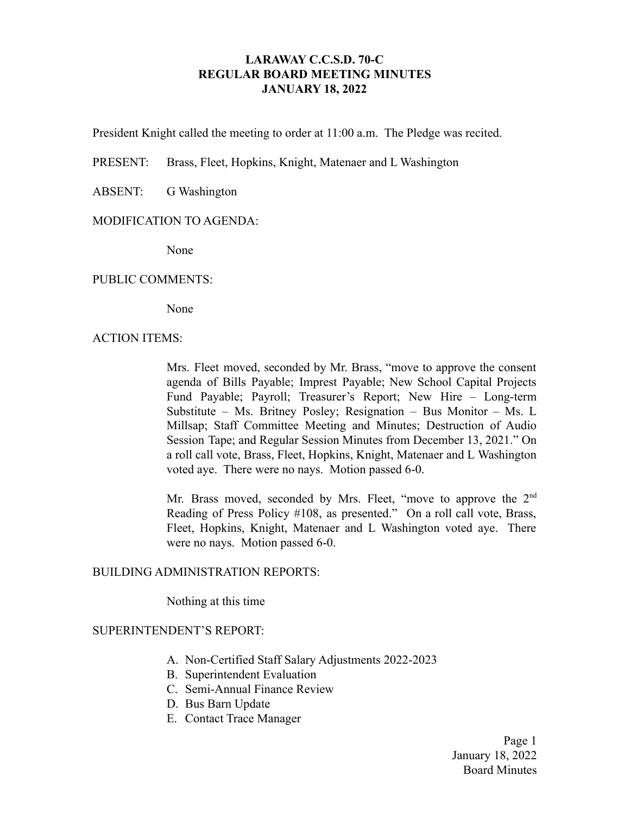# **LARAWAY C.C.S.D. 70-C REGULAR BOARD MEETING MINUTES JANUARY 18, 2022**

President Knight called the meeting to order at 11:00 a.m. The Pledge was recited.

PRESENT: Brass, Fleet, Hopkins, Knight, Matenaer and L Washington

ABSENT: G Washington

### MODIFICATION TO AGENDA:

None

### PUBLIC COMMENTS:

None

#### ACTION ITEMS:

Mrs. Fleet moved, seconded by Mr. Brass, "move to approve the consent agenda of Bills Payable; Imprest Payable; New School Capital Projects Fund Payable; Payroll; Treasurer's Report; New Hire – Long-term Substitute – Ms. Britney Posley; Resignation – Bus Monitor – Ms. L Millsap; Staff Committee Meeting and Minutes; Destruction of Audio Session Tape; and Regular Session Minutes from December 13, 2021." On a roll call vote, Brass, Fleet, Hopkins, Knight, Matenaer and L Washington voted aye. There were no nays. Motion passed 6-0.

Mr. Brass moved, seconded by Mrs. Fleet, "move to approve the 2<sup>nd</sup> Reading of Press Policy #108, as presented." On a roll call vote, Brass, Fleet, Hopkins, Knight, Matenaer and L Washington voted aye. There were no nays. Motion passed 6-0.

### BUILDING ADMINISTRATION REPORTS:

Nothing at this time

#### SUPERINTENDENT'S REPORT:

- A. Non-Certified Staff Salary Adjustments 2022-2023
- B. Superintendent Evaluation
- C. Semi-Annual Finance Review
- D. Bus Barn Update
- E. Contact Trace Manager

Page 1 January 18, 2022 Board Minutes